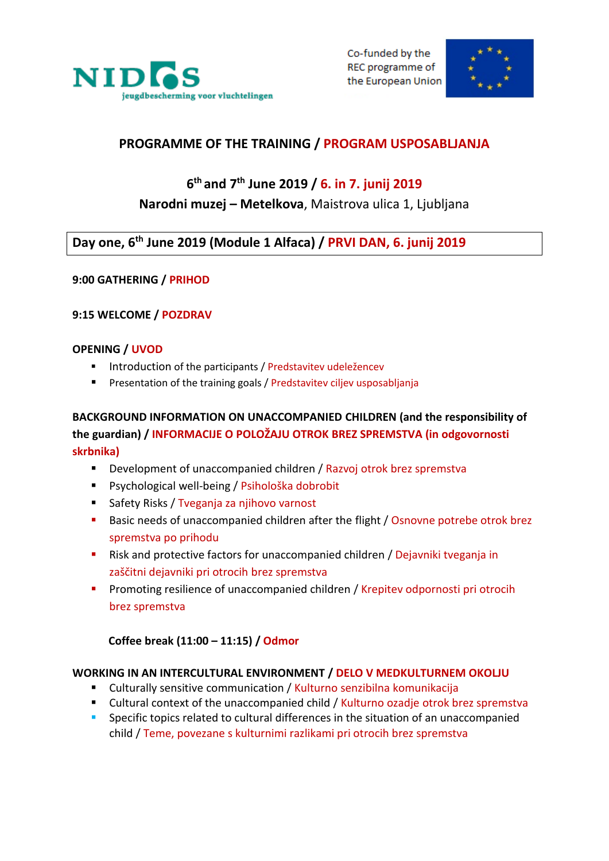



## **PROGRAMME OF THE TRAINING / PROGRAM USPOSABLJANJA**

# **6 th and 7th June 2019 / 6. in 7. junij 2019**

## **Narodni muzej – Metelkova**, Maistrova ulica 1, Ljubljana

## **Day one, 6 th June 2019 (Module 1 Alfaca) / PRVI DAN, 6. junij 2019**

### **9:00 GATHERING / PRIHOD**

### **9:15 WELCOME / POZDRAV**

#### **OPENING / UVOD**

- **Introduction of the participants / Predstavitev udeležencev**
- **Presentation of the training goals / Predstavitev ciljev usposabljanja**

## **BACKGROUND INFORMATION ON UNACCOMPANIED CHILDREN (and the responsibility of the guardian) / INFORMACIJE O POLOŽAJU OTROK BREZ SPREMSTVA (in odgovornosti skrbnika)**

- Development of unaccompanied children / Razvoj otrok brez spremstva
- Psychological well-being / Psihološka dobrobit
- Safety Risks / Tveganja za njihovo varnost
- **Basic needs of unaccompanied children after the flight / Osnovne potrebe otrok brez** spremstva po prihodu
- **EXT** Risk and protective factors for unaccompanied children / Dejavniki tveganja in zaščitni dejavniki pri otrocih brez spremstva
- Promoting resilience of unaccompanied children / Krepitev odpornosti pri otrocih brez spremstva

#### **Coffee break (11:00 – 11:15) / Odmor**

#### **WORKING IN AN INTERCULTURAL ENVIRONMENT / DELO V MEDKULTURNEM OKOLJU**

- Culturally sensitive communication / Kulturno senzibilna komunikacija
- Cultural context of the unaccompanied child / Kulturno ozadje otrok brez spremstva
- **Specific topics related to cultural differences in the situation of an unaccompanied** child / Teme, povezane s kulturnimi razlikami pri otrocih brez spremstva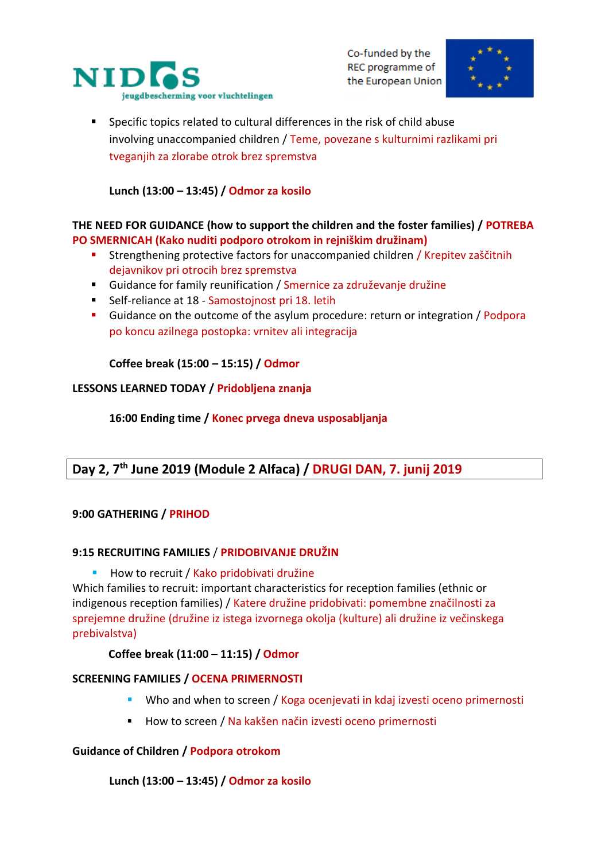

Co-funded by the REC programme of the European Union



 Specific topics related to cultural differences in the risk of child abuse involving unaccompanied children / Teme, povezane s kulturnimi razlikami pri tveganjih za zlorabe otrok brez spremstva

### **Lunch (13:00 – 13:45) / Odmor za kosilo**

#### **THE NEED FOR GUIDANCE (how to support the children and the foster families) / POTREBA PO SMERNICAH (Kako nuditi podporo otrokom in rejniškim družinam)**

- **Strengthening protective factors for unaccompanied children / Krepitev zaščitnih** dejavnikov pri otrocih brez spremstva
- Guidance for family reunification / Smernice za združevanje družine
- Self-reliance at 18 Samostoinost pri 18. letih
- Guidance on the outcome of the asylum procedure: return or integration / Podpora po koncu azilnega postopka: vrnitev ali integracija

#### **Coffee break (15:00 – 15:15) / Odmor**

#### **LESSONS LEARNED TODAY / Pridobljena znanja**

**16:00 Ending time / Konec prvega dneva usposabljanja**

## **Day 2, 7th June 2019 (Module 2 Alfaca) / DRUGI DAN, 7. junij 2019**

#### **9:00 GATHERING / PRIHOD**

#### **9:15 RECRUITING FAMILIES** / **PRIDOBIVANJE DRUŽIN**

**How to recruit / Kako pridobivati družine** 

Which families to recruit: important characteristics for reception families (ethnic or indigenous reception families) / Katere družine pridobivati: pomembne značilnosti za sprejemne družine (družine iz istega izvornega okolja (kulture) ali družine iz večinskega prebivalstva)

#### **Coffee break (11:00 – 11:15) / Odmor**

#### **SCREENING FAMILIES / OCENA PRIMERNOSTI**

- Who and when to screen / Koga ocenjevati in kdaj izvesti oceno primernosti
- How to screen / Na kakšen način izvesti oceno primernosti

#### **Guidance of Children / Podpora otrokom**

#### **Lunch (13:00 – 13:45) / Odmor za kosilo**